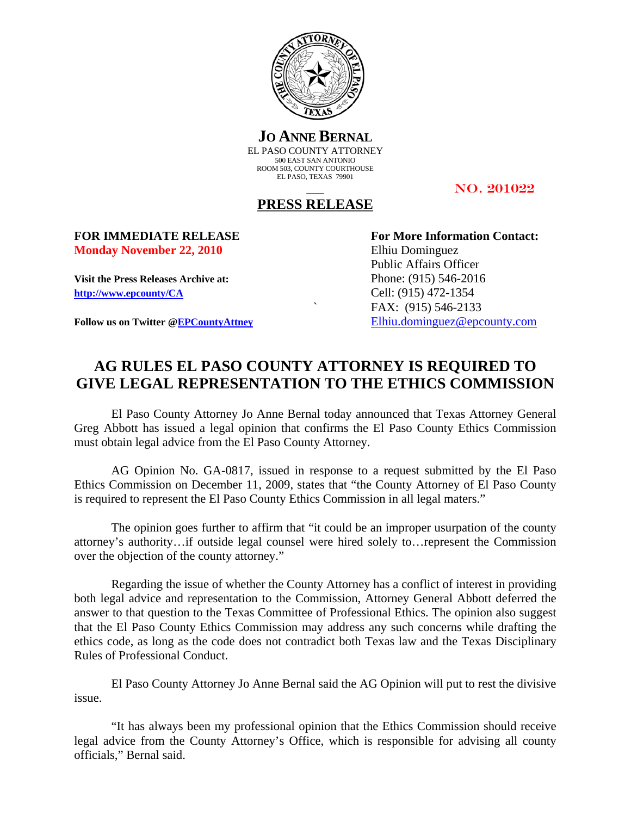

**JO ANNE BERNAL** EL PASO COUNTY ATTORNEY 500 EAST SAN ANTONIO ROOM 503, COUNTY COURTHOUSE EL PASO, TEXAS 79901

NO. 201022

## **PRESS RELEASE**

**Monday November 22, 2010** Elhiu Dominguez

**Visit the Press Releases Archive at:** Phone: (915) 546-2016 **http://www.epcounty/CA** Cell: (915) 472-1354

**FOR IMMEDIATE RELEASE For More Information Contact:**  Public Affairs Officer ` FAX: (915) 546-2133 Follow us on Twitter @EPCountyAttney Elhiu.dominguez@epcounty.com

## **AG RULES EL PASO COUNTY ATTORNEY IS REQUIRED TO GIVE LEGAL REPRESENTATION TO THE ETHICS COMMISSION**

El Paso County Attorney Jo Anne Bernal today announced that Texas Attorney General Greg Abbott has issued a legal opinion that confirms the El Paso County Ethics Commission must obtain legal advice from the El Paso County Attorney.

AG Opinion No. GA-0817, issued in response to a request submitted by the El Paso Ethics Commission on December 11, 2009, states that "the County Attorney of El Paso County is required to represent the El Paso County Ethics Commission in all legal maters."

The opinion goes further to affirm that "it could be an improper usurpation of the county attorney's authority…if outside legal counsel were hired solely to…represent the Commission over the objection of the county attorney."

Regarding the issue of whether the County Attorney has a conflict of interest in providing both legal advice and representation to the Commission, Attorney General Abbott deferred the answer to that question to the Texas Committee of Professional Ethics. The opinion also suggest that the El Paso County Ethics Commission may address any such concerns while drafting the ethics code, as long as the code does not contradict both Texas law and the Texas Disciplinary Rules of Professional Conduct.

El Paso County Attorney Jo Anne Bernal said the AG Opinion will put to rest the divisive issue.

"It has always been my professional opinion that the Ethics Commission should receive legal advice from the County Attorney's Office, which is responsible for advising all county officials," Bernal said.